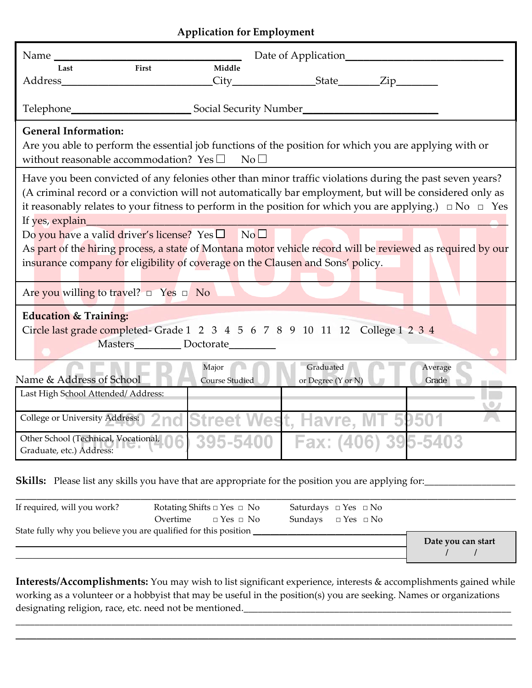## **Application for Employment**

| Name                                                                                                                                                                                                                                                                                                                                                                                                                                                                                                                                                                                                                              |                                  | Date of Application             |  |                  |
|-----------------------------------------------------------------------------------------------------------------------------------------------------------------------------------------------------------------------------------------------------------------------------------------------------------------------------------------------------------------------------------------------------------------------------------------------------------------------------------------------------------------------------------------------------------------------------------------------------------------------------------|----------------------------------|---------------------------------|--|------------------|
| First<br>Last                                                                                                                                                                                                                                                                                                                                                                                                                                                                                                                                                                                                                     | Middle                           |                                 |  |                  |
| Address and the state of the state of the state of the state of the state of the state of the state of the state of the state of the state of the state of the state of the state of the state of the state of the state of th                                                                                                                                                                                                                                                                                                                                                                                                    |                                  |                                 |  |                  |
| Telephone_                                                                                                                                                                                                                                                                                                                                                                                                                                                                                                                                                                                                                        | Social Security Number           |                                 |  |                  |
| <b>General Information:</b><br>Are you able to perform the essential job functions of the position for which you are applying with or<br>without reasonable accommodation? Yes $\square$<br>No <sub>1</sub>                                                                                                                                                                                                                                                                                                                                                                                                                       |                                  |                                 |  |                  |
| Have you been convicted of any felonies other than minor traffic violations during the past seven years?<br>(A criminal record or a conviction will not automatically bar employment, but will be considered only as<br>it reasonably relates to your fitness to perform in the position for which you are applying.) $\Box$ No $\Box$ Yes<br>If yes, explain<br>Do you have a valid driver's license? Yes $\square$ No $\square$<br>As part of the hiring process, a state of Montana motor vehicle record will be reviewed as required by our<br>insurance company for eligibility of coverage on the Clausen and Sons' policy. |                                  |                                 |  |                  |
| Are you willing to travel? $\Box$ Yes $\Box$ No                                                                                                                                                                                                                                                                                                                                                                                                                                                                                                                                                                                   |                                  |                                 |  |                  |
| <b>Education &amp; Training:</b><br>Circle last grade completed- Grade 1 2 3 4 5 6 7 8 9 10 11 12 College 1 2 3 4<br>Masters____________ Doctorate__________                                                                                                                                                                                                                                                                                                                                                                                                                                                                      |                                  |                                 |  |                  |
| Name & Address of School                                                                                                                                                                                                                                                                                                                                                                                                                                                                                                                                                                                                          | Major<br><b>Course Studied</b>   | Graduated<br>or Degree (Y or N) |  | Average<br>Grade |
| Last High School Attended/Address:                                                                                                                                                                                                                                                                                                                                                                                                                                                                                                                                                                                                |                                  |                                 |  |                  |
| College or University Address:                                                                                                                                                                                                                                                                                                                                                                                                                                                                                                                                                                                                    | 2nd Street West, Havre, MT 59501 |                                 |  |                  |
| Other School (Technical, Vocational,<br>Graduate, etc.) Address:                                                                                                                                                                                                                                                                                                                                                                                                                                                                                                                                                                  |                                  | 395-5400   Fax: (406) 395-5403  |  |                  |

**Skills:** Please list any skills you have that are appropriate for the position you are applying for:\_\_\_\_\_\_\_\_\_\_\_

| If required, will you work?                                     | Rotating Shifts $\Box$ Yes $\Box$ No | Saturdays $\Box$ Yes $\Box$ No |                    |
|-----------------------------------------------------------------|--------------------------------------|--------------------------------|--------------------|
|                                                                 | Overtime $\Box$ Yes $\Box$ No        | Sundays $\Box$ Yes $\Box$ No   |                    |
| State fully why you believe you are qualified for this position |                                      |                                | Date you can start |
|                                                                 |                                      |                                |                    |

**Interests/Accomplishments:** You may wish to list significant experience, interests & accomplishments gained while working as a volunteer or a hobbyist that may be useful in the position(s) you are seeking. Names or organizations designating religion, race, etc. need not be mentioned.\_\_\_\_\_\_\_\_\_\_\_\_\_\_\_\_\_\_\_\_\_\_\_\_\_

\_\_\_\_\_\_\_\_\_\_\_\_\_\_\_\_\_\_\_\_\_\_\_\_\_\_\_\_\_\_\_\_\_\_\_\_\_\_\_\_\_\_\_\_\_\_\_\_\_\_\_\_\_\_\_\_\_\_\_\_\_\_\_\_\_\_\_\_\_\_\_\_\_\_\_\_\_\_\_\_\_\_\_\_\_\_\_\_\_\_\_\_\_\_\_\_\_\_\_\_\_\_\_\_ \_\_\_\_\_\_\_\_\_\_\_\_\_\_\_\_\_\_\_\_\_\_\_\_\_\_\_\_\_\_\_\_\_\_\_\_\_\_\_\_\_\_\_\_\_\_\_\_\_\_\_\_\_\_\_\_\_\_\_\_\_\_\_\_\_\_\_\_\_\_\_\_\_\_\_\_\_\_\_\_\_\_\_\_\_\_\_\_\_\_\_\_\_\_\_\_